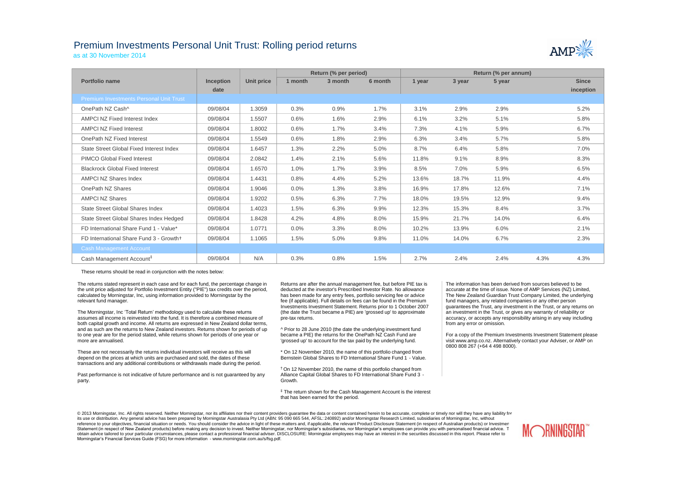## Premium Investments Personal Unit Trust: Rolling period returns



as at 30 November 2014

|                                                |                  |            |         | Return (% per period) |         | Return (% per annum) |        |        |      |              |
|------------------------------------------------|------------------|------------|---------|-----------------------|---------|----------------------|--------|--------|------|--------------|
| Portfolio name                                 | <b>Inception</b> | Unit price | 1 month | 3 month               | 6 month | 1 year               | 3 year | 5 year |      | <b>Since</b> |
|                                                | date             |            |         |                       |         |                      |        |        |      | inception    |
| <b>Premium Investments Personal Unit Trust</b> |                  |            |         |                       |         |                      |        |        |      |              |
| OnePath NZ Cash^                               | 09/08/04         | 1.3059     | 0.3%    | 0.9%                  | 1.7%    | 3.1%                 | 2.9%   | 2.9%   |      | 5.2%         |
| <b>AMPCI NZ Fixed Interest Index</b>           | 09/08/04         | 1.5507     | 0.6%    | 1.6%                  | 2.9%    | 6.1%                 | 3.2%   | 5.1%   |      | 5.8%         |
| <b>AMPCI NZ Fixed Interest</b>                 | 09/08/04         | 1.8002     | 0.6%    | 1.7%                  | 3.4%    | 7.3%                 | 4.1%   | 5.9%   |      | 6.7%         |
| OnePath NZ Fixed Interest                      | 09/08/04         | 1.5549     | 0.6%    | 1.8%                  | 2.9%    | 6.3%                 | 3.4%   | 5.7%   |      | 5.8%         |
| State Street Global Fixed Interest Index       | 09/08/04         | 1.6457     | 1.3%    | 2.2%                  | 5.0%    | 8.7%                 | 6.4%   | 5.8%   |      | 7.0%         |
| <b>PIMCO Global Fixed Interest</b>             | 09/08/04         | 2.0842     | 1.4%    | 2.1%                  | 5.6%    | 11.8%                | 9.1%   | 8.9%   |      | 8.3%         |
| <b>Blackrock Global Fixed Interest</b>         | 09/08/04         | 1.6570     | 1.0%    | 1.7%                  | 3.9%    | 8.5%                 | 7.0%   | 5.9%   |      | 6.5%         |
| <b>AMPCI NZ Shares Index</b>                   | 09/08/04         | 1.4431     | 0.8%    | 4.4%                  | 5.2%    | 13.6%                | 18.7%  | 11.9%  |      | 4.4%         |
| OnePath NZ Shares                              | 09/08/04         | 1.9046     | 0.0%    | 1.3%                  | 3.8%    | 16.9%                | 17.8%  | 12.6%  |      | 7.1%         |
| <b>AMPCI NZ Shares</b>                         | 09/08/04         | 1.9202     | 0.5%    | 6.3%                  | 7.7%    | 18.0%                | 19.5%  | 12.9%  |      | 9.4%         |
| <b>State Street Global Shares Index</b>        | 09/08/04         | 1.4023     | 1.5%    | 6.3%                  | 9.9%    | 12.3%                | 15.3%  | 8.4%   |      | 3.7%         |
| State Street Global Shares Index Hedged        | 09/08/04         | 1.8428     | 4.2%    | 4.8%                  | 8.0%    | 15.9%                | 21.7%  | 14.0%  |      | 6.4%         |
| FD International Share Fund 1 - Value*         | 09/08/04         | 1.0771     | 0.0%    | 3.3%                  | 8.0%    | 10.2%                | 13.9%  | 6.0%   |      | 2.1%         |
| FD International Share Fund 3 - Growth+        | 09/08/04         | 1.1065     | 1.5%    | 5.0%                  | 9.8%    | 11.0%                | 14.0%  | 6.7%   |      | 2.3%         |
| <b>Cash Management Account</b>                 |                  |            |         |                       |         |                      |        |        |      |              |
| Cash Management Account <sup>#</sup>           | 09/08/04         | N/A        | 0.3%    | 0.8%                  | 1.5%    | 2.7%                 | 2.4%   | 2.4%   | 4.3% | 4.3%         |

These returns should be read in conjunction with the notes below:

The returns stated represent in each case and for each fund, the percentage change in the unit price adjusted for Portfolio Investment Entity ("PIE") tax credits over the period, calculated by Morningstar, Inc, using information provided to Morningstar by the relevant fund manager.

The Morningstar, Inc 'Total Return' methodology used to calculate these returns assumes all income is reinvested into the fund. It is therefore a combined measure of both capital growth and income. All returns are expressed in New Zealand dollar terms, and as such are the returns to New Zealand investors. Returns shown for periods of up to one year are for the period stated, while returns shown for periods of one year or more are annualised.

These are not necessarily the returns individual investors will receive as this will depend on the prices at which units are purchased and sold, the dates of these transactions and any additional contributions or withdrawals made during the period.

Past performance is not indicative of future performance and is not guaranteed by any party.

Returns are after the annual management fee, but before PIE tax is deducted at the investor's Prescribed Investor Rate. No allowance has been made for any entry fees, portfolio servicing fee or advice fee (if applicable). Full details on fees can be found in the Premium Investments Investment Statement. Returns prior to 1 October 2007 (the date the Trust became a PIE) are 'grossed up' to approximate pre-tax returns.

^ Prior to 28 June 2010 (the date the underlying investment fund became a PIE) the returns for the OnePath NZ Cash Fund are 'grossed up' to account for the tax paid by the underlying fund.

\* On 12 November 2010, the name of this portfolio changed from Bernstein Global Shares to FD International Share Fund 1 - Value.

† On 12 November 2010, the name of this portfolio changed from Alliance Capital Global Shares to FD International Share Fund 3 - Growth.

‡ The return shown for the Cash Management Account is the interest that has been earned for the period.

The information has been derived from sources believed to be accurate at the time of issue. None of AMP Services (NZ) Limited, The New Zealand Guardian Trust Company Limited, the underlying fund managers, any related companies or any other person guarantees the Trust, any investment in the Trust, or any returns on an investment in the Trust, or gives any warranty of reliability or accuracy, or accepts any responsibility arising in any way including from any error or omission.

For a copy of the Premium Investments Investment Statement please visit www.amp.co.nz. Alternatively contact your Adviser, or AMP on 0800 808 267 (+64 4 498 8000).

© 2013 Morningstar, Inc. All rights reserved. Neither Morningstar, nor its affiliates nor their content providers quarantee the data or content contained herein to be accurate, complete or timely nor will they have any lia its use or distribution. Any general advice has been prepared by Morningstar Australasia Pty Ltd (ABN: 95 090 665 544, AFSL: 240892) and/or Morningstar Research Limited, subsidiaries of Morningstar, Inc, without  $\frac{1}{2}$  reference to your objectives, francial situation or needs. You should consider the advice in light of these matters and, if applicable, the relevant Product Disclosure Statement (in respect of Australian product Statement (in respect of New Zealand products) before making any decision to invest. Neither Morningstar, nor Morningstar's subsidiaries, nor Morningstar's employees can provide you with personalised financial advice. To obtain advice tailored to your particular circumstances, please contact a professional financial adviser. DISCLOSURE: Morningstar employees may have an interest in the securities discussed in this report. Please refer to Morningstar's Financial Services Guide (FSG) for more information - www.morningstar.com.au/s/fsg.pdf.